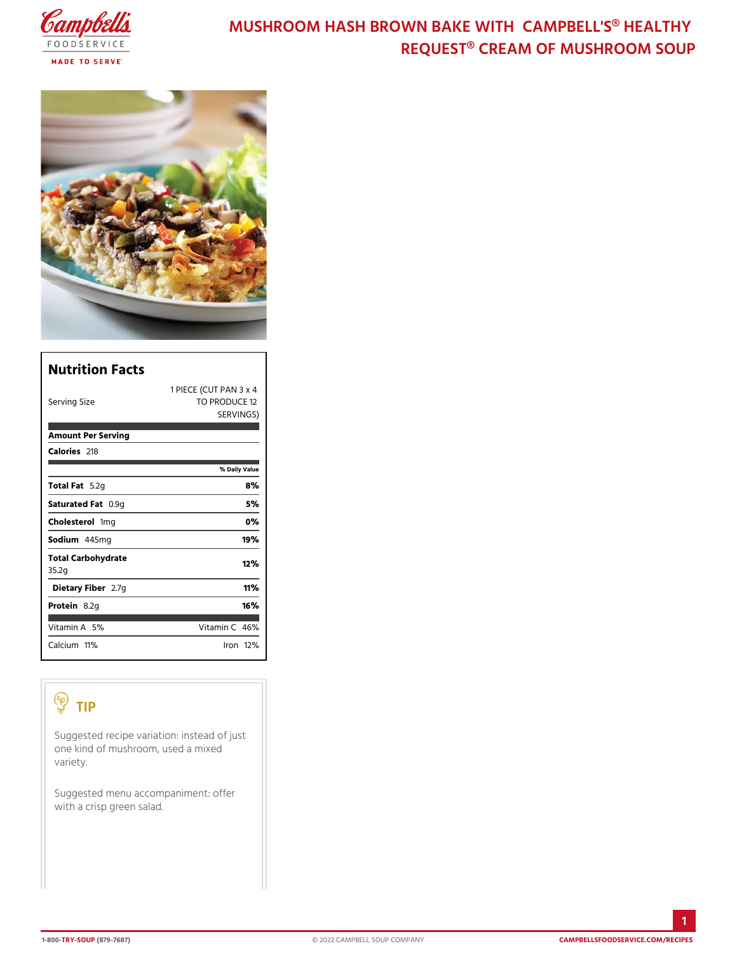## MUSHROOM HASH BROWN BAKE WITH CAM REQUEST® CREAM OF MUSH

| Nutrition Facts             |                                                      |
|-----------------------------|------------------------------------------------------|
| Serving Size                | 1 PIECE (CUT PAN 3 x 4<br>TO PRODUCE 12<br>SERVINGS) |
| Amount Per Serving          |                                                      |
| Calorie2s18                 |                                                      |
|                             | % Daily Vallue                                       |
| Total F5at2g                | 8%                                                   |
| Saturated 0F. @m.p          | 5 %                                                  |
| Cholesteffonig              | $0\%$                                                |
| Sodium445mg                 | 19%                                                  |
| Total Carbohydrate<br>35.2g | 12%                                                  |
| Dietary F2ib7egr            | 11%                                                  |
| Protei&.2g                  | 16%                                                  |
| Vitamin5A%                  | Vitamin46%                                           |
| $C$ alciumt $\%$            | $l$ ron 12 $\%$                                      |

# TIP

| Suggested recipe variation instead of just<br>one kind of mushroom, used a mixed<br>variety. |  |
|----------------------------------------------------------------------------------------------|--|
| Suggested menu accompaniment: offer<br>with a crisp green salad.                             |  |
|                                                                                              |  |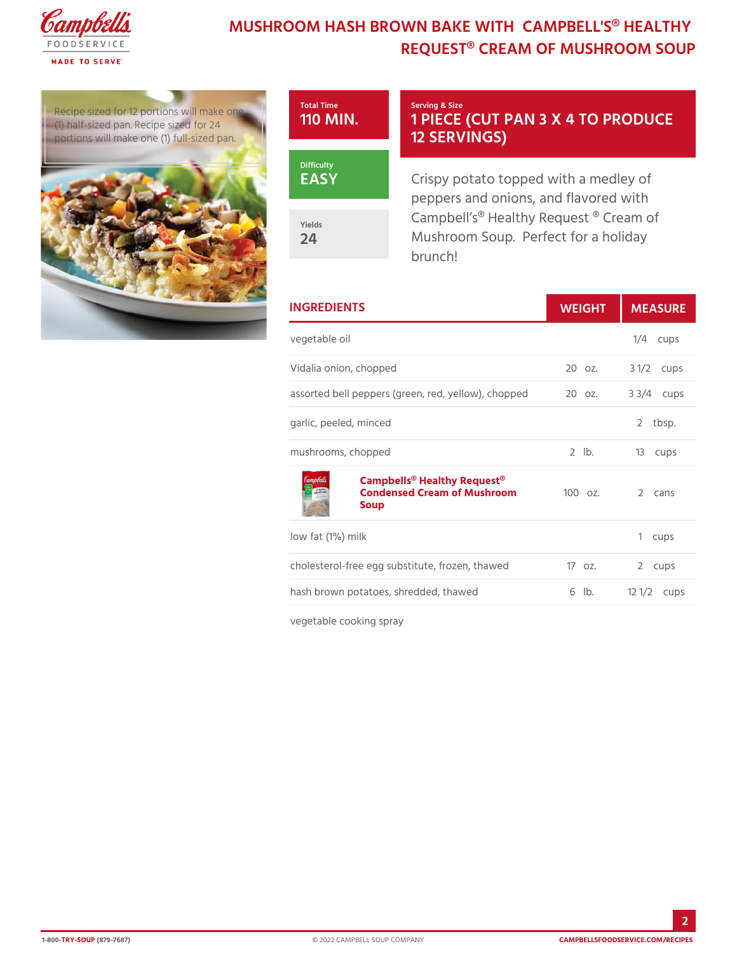### MUSHROOM HASH BROWN BAKE WITH CAM REQUEST® CREAM OF MUSH

Recipe sized for 12 portions w (1) half-sized pan. Recipe  $\left| \text{size} \right|$ portions will make one  $(1)$  tull



### Serving & Size 1 PIECE (CUT PAN 3 X 4 12 SERVINGS)

Crispy potato topped with a med  $p$ eppers and onions, and flavore Campbell s® Healthy Request ® Mushroom Soup. Perfect for a brunch!

| <b>INGREDIENTS</b>                                                                                      | WEIGH MEASU      |            |
|---------------------------------------------------------------------------------------------------------|------------------|------------|
| vegetable oil                                                                                           |                  | $1/4$ cups |
| Vidalia onion, chopped                                                                                  | 20 oz. 3 1/2cups |            |
| assorted bell peppers (green, red, y2eClloozv.), & h&o /p4pceupols                                      |                  |            |
| garlic, peeled, minced                                                                                  |                  | 2 tbsp.    |
| mushrooms, chopped                                                                                      | 2 lb. 13 cups    |            |
| Campbells <sup>®</sup> Healthy Request <sup>®</sup><br>Condensed Cream of Mushrid000moz. 2 cans<br>Soup |                  |            |
| low fat (1%) milk                                                                                       |                  | 1 cups     |
| cholesterol-free egg substitute, froz1e7nozt.haw @d cups                                                |                  |            |
| hash brown potatoes, shredded, thaw6edb. 12 1/2 ups                                                     |                  |            |
| vegetable cooking spray                                                                                 |                  |            |